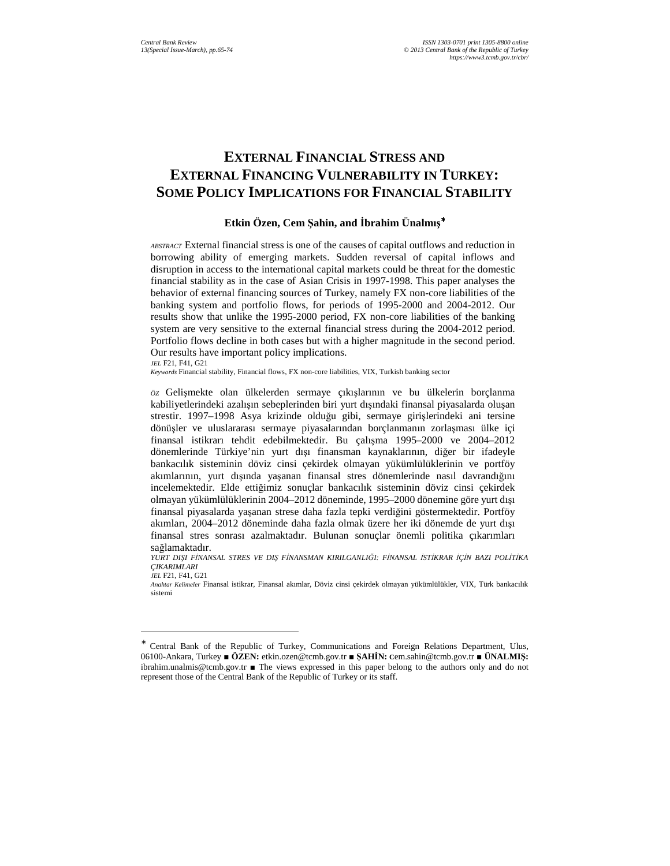# **EXTERNAL FINANCIAL STRESS AND EXTERNAL FINANCING VULNERABILITY IN TURKEY: SOME POLICY IMPLICATIONS FOR FINANCIAL STABILITY**

## **Etkin Özen, Cem Şahin, and Đbrahim Ünalmış** ∗

*ABSTRACT* External financial stress is one of the causes of capital outflows and reduction in borrowing ability of emerging markets. Sudden reversal of capital inflows and disruption in access to the international capital markets could be threat for the domestic financial stability as in the case of Asian Crisis in 1997-1998. This paper analyses the behavior of external financing sources of Turkey, namely FX non-core liabilities of the banking system and portfolio flows, for periods of 1995-2000 and 2004-2012. Our results show that unlike the 1995-2000 period, FX non-core liabilities of the banking system are very sensitive to the external financial stress during the 2004-2012 period. Portfolio flows decline in both cases but with a higher magnitude in the second period. Our results have important policy implications.

*JEL* F21, F41, G21

j

*Keywords* Financial stability, Financial flows, FX non-core liabilities, VIX, Turkish banking sector

*ÖZ* Gelişmekte olan ülkelerden sermaye çıkışlarının ve bu ülkelerin borçlanma kabiliyetlerindeki azalışın sebeplerinden biri yurt dışındaki finansal piyasalarda oluşan strestir. 1997–1998 Asya krizinde olduğu gibi, sermaye girişlerindeki ani tersine dönüşler ve uluslararası sermaye piyasalarından borçlanmanın zorlaşması ülke içi finansal istikrarı tehdit edebilmektedir. Bu çalışma 1995–2000 ve 2004–2012 dönemlerinde Türkiye'nin yurt dışı finansman kaynaklarının, diğer bir ifadeyle bankacılık sisteminin döviz cinsi çekirdek olmayan yükümlülüklerinin ve portföy akımlarının, yurt dışında yaşanan finansal stres dönemlerinde nasıl davrandığını incelemektedir. Elde ettiğimiz sonuçlar bankacılık sisteminin döviz cinsi çekirdek olmayan yükümlülüklerinin 2004–2012 döneminde, 1995–2000 dönemine göre yurt dışı finansal piyasalarda yaşanan strese daha fazla tepki verdiğini göstermektedir. Portföy akımları, 2004–2012 döneminde daha fazla olmak üzere her iki dönemde de yurt dışı finansal stres sonrası azalmaktadır. Bulunan sonuçlar önemli politika çıkarımları sağlamaktadır.

YURT DISI FİNANSAL STRES VE DIS FİNANSMAN KIRILGANLIĞI: FİNANSAL İSTİKRAR İCİN BAZI POLİTİKA *ÇIKARIMLARI JEL* F21, F41, G21

*Anahtar Kelimeler* Finansal istikrar, Finansal akımlar, Döviz cinsi çekirdek olmayan yükümlülükler, VIX, Türk bankacılık sistemi

<sup>∗</sup> Central Bank of the Republic of Turkey, Communications and Foreign Relations Department, Ulus, 06100-Ankara, Turkey ■ **ÖZEN:** etkin.ozen@tcmb.gov.tr ■ **ŞAHĐN: C**em.sahin@tcmb.gov.tr ■ **ÜNALMIŞ:** ibrahim.unalmis@tcmb.gov.tr ■ The views expressed in this paper belong to the authors only and do not represent those of the Central Bank of the Republic of Turkey or its staff.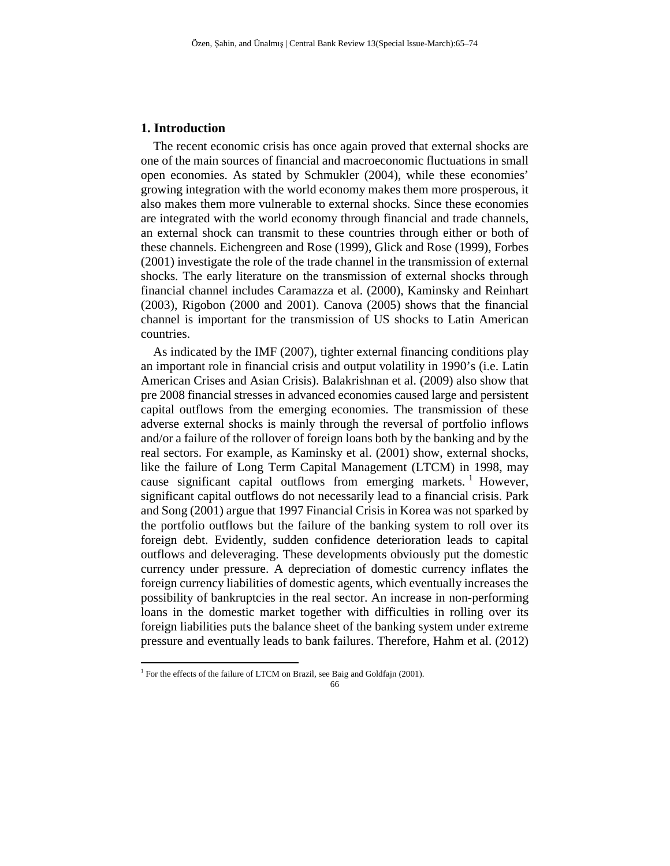# **1. Introduction**

The recent economic crisis has once again proved that external shocks are one of the main sources of financial and macroeconomic fluctuations in small open economies. As stated by Schmukler (2004), while these economies' growing integration with the world economy makes them more prosperous, it also makes them more vulnerable to external shocks. Since these economies are integrated with the world economy through financial and trade channels, an external shock can transmit to these countries through either or both of these channels. Eichengreen and Rose (1999), Glick and Rose (1999), Forbes (2001) investigate the role of the trade channel in the transmission of external shocks. The early literature on the transmission of external shocks through financial channel includes Caramazza et al. (2000), Kaminsky and Reinhart (2003), Rigobon (2000 and 2001). Canova (2005) shows that the financial channel is important for the transmission of US shocks to Latin American countries.

As indicated by the IMF (2007), tighter external financing conditions play an important role in financial crisis and output volatility in 1990's (i.e. Latin American Crises and Asian Crisis). Balakrishnan et al. (2009) also show that pre 2008 financial stresses in advanced economies caused large and persistent capital outflows from the emerging economies. The transmission of these adverse external shocks is mainly through the reversal of portfolio inflows and/or a failure of the rollover of foreign loans both by the banking and by the real sectors. For example, as Kaminsky et al. (2001) show, external shocks, like the failure of Long Term Capital Management (LTCM) in 1998, may cause significant capital outflows from emerging markets.<sup>1</sup> However, significant capital outflows do not necessarily lead to a financial crisis. Park and Song (2001) argue that 1997 Financial Crisis in Korea was not sparked by the portfolio outflows but the failure of the banking system to roll over its foreign debt. Evidently, sudden confidence deterioration leads to capital outflows and deleveraging. These developments obviously put the domestic currency under pressure. A depreciation of domestic currency inflates the foreign currency liabilities of domestic agents, which eventually increases the possibility of bankruptcies in the real sector. An increase in non-performing loans in the domestic market together with difficulties in rolling over its foreign liabilities puts the balance sheet of the banking system under extreme pressure and eventually leads to bank failures. Therefore, Hahm et al. (2012)

 1 For the effects of the failure of LTCM on Brazil, see Baig and Goldfajn (2001).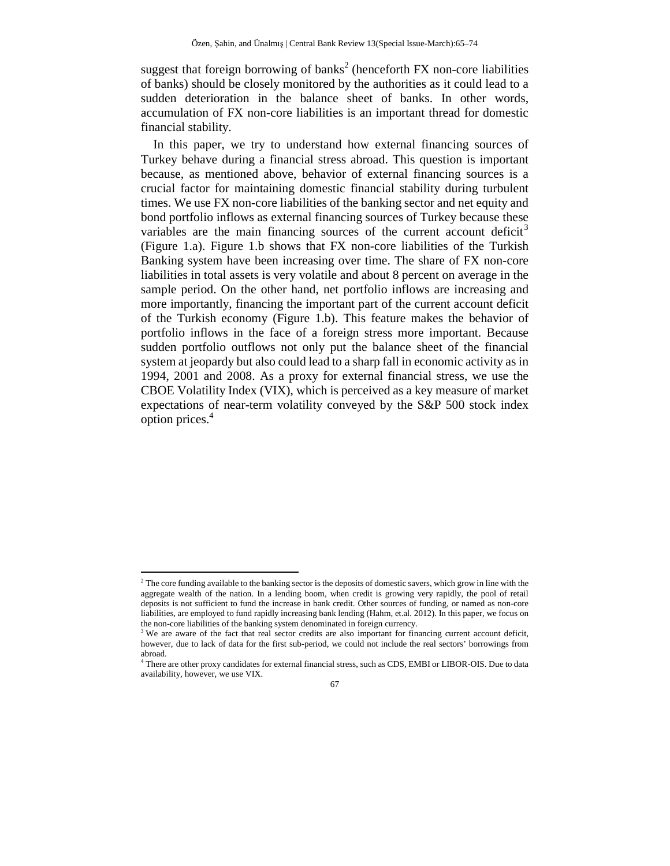suggest that foreign borrowing of banks<sup>2</sup> (henceforth FX non-core liabilities of banks) should be closely monitored by the authorities as it could lead to a sudden deterioration in the balance sheet of banks. In other words, accumulation of FX non-core liabilities is an important thread for domestic financial stability.

In this paper, we try to understand how external financing sources of Turkey behave during a financial stress abroad. This question is important because, as mentioned above, behavior of external financing sources is a crucial factor for maintaining domestic financial stability during turbulent times. We use FX non-core liabilities of the banking sector and net equity and bond portfolio inflows as external financing sources of Turkey because these variables are the main financing sources of the current account deficit<sup>3</sup> (Figure 1.a). Figure 1.b shows that FX non-core liabilities of the Turkish Banking system have been increasing over time. The share of FX non-core liabilities in total assets is very volatile and about 8 percent on average in the sample period. On the other hand, net portfolio inflows are increasing and more importantly, financing the important part of the current account deficit of the Turkish economy (Figure 1.b). This feature makes the behavior of portfolio inflows in the face of a foreign stress more important. Because sudden portfolio outflows not only put the balance sheet of the financial system at jeopardy but also could lead to a sharp fall in economic activity as in 1994, 2001 and 2008. As a proxy for external financial stress, we use the CBOE Volatility Index (VIX), which is perceived as a key measure of market expectations of near-term volatility conveyed by the S&P 500 stock index option prices.<sup>4</sup>

j

 $2<sup>2</sup>$  The core funding available to the banking sector is the deposits of domestic savers, which grow in line with the aggregate wealth of the nation. In a lending boom, when credit is growing very rapidly, the pool of retail deposits is not sufficient to fund the increase in bank credit. Other sources of funding, or named as non-core liabilities, are employed to fund rapidly increasing bank lending (Hahm, et.al. 2012). In this paper, we focus on the non-core liabilities of the banking system denominated in foreign currency.

<sup>&</sup>lt;sup>3</sup> We are aware of the fact that real sector credits are also important for financing current account deficit, however, due to lack of data for the first sub-period, we could not include the real sectors' borrowings from abroad.

<sup>4</sup> There are other proxy candidates for external financial stress, such as CDS, EMBI or LIBOR-OIS. Due to data availability, however, we use VIX.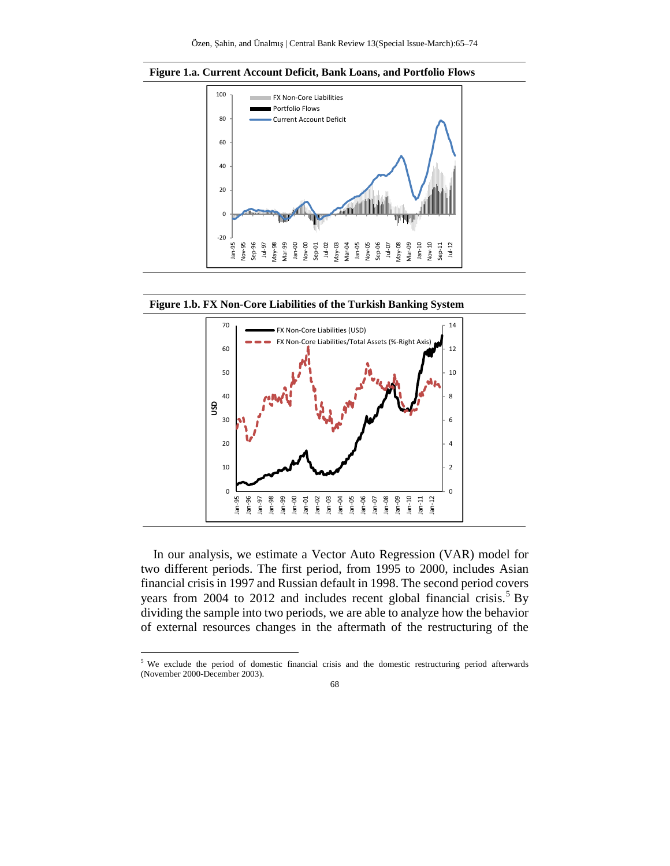





In our analysis, we estimate a Vector Auto Regression (VAR) model for two different periods. The first period, from 1995 to 2000, includes Asian financial crisis in 1997 and Russian default in 1998. The second period covers years from 2004 to 2012 and includes recent global financial crisis.<sup>5</sup> By dividing the sample into two periods, we are able to analyze how the behavior of external resources changes in the aftermath of the restructuring of the

j

<sup>&</sup>lt;sup>5</sup> We exclude the period of domestic financial crisis and the domestic restructuring period afterwards (November 2000-December 2003).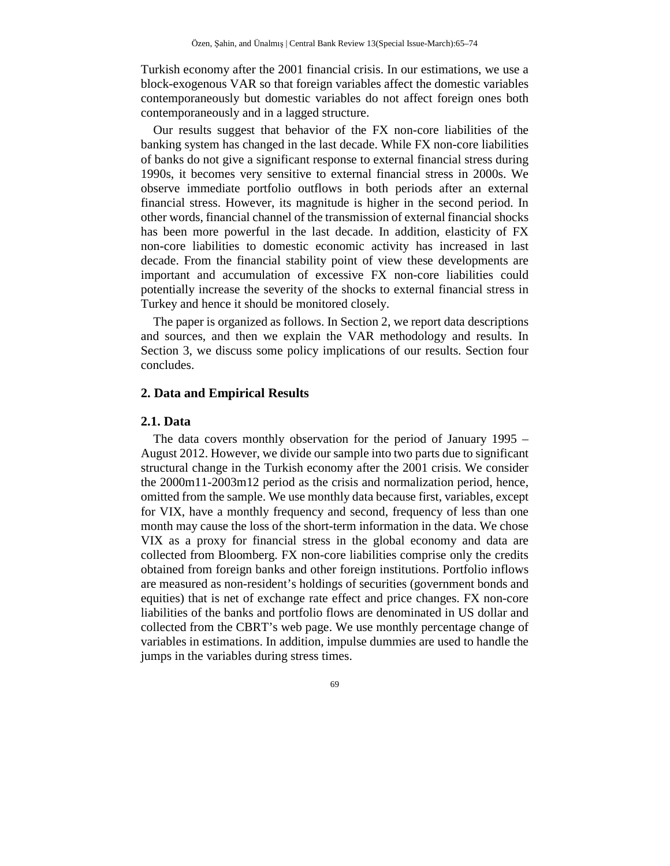Turkish economy after the 2001 financial crisis. In our estimations, we use a block-exogenous VAR so that foreign variables affect the domestic variables contemporaneously but domestic variables do not affect foreign ones both contemporaneously and in a lagged structure.

Our results suggest that behavior of the FX non-core liabilities of the banking system has changed in the last decade. While FX non-core liabilities of banks do not give a significant response to external financial stress during 1990s, it becomes very sensitive to external financial stress in 2000s. We observe immediate portfolio outflows in both periods after an external financial stress. However, its magnitude is higher in the second period. In other words, financial channel of the transmission of external financial shocks has been more powerful in the last decade. In addition, elasticity of FX non-core liabilities to domestic economic activity has increased in last decade. From the financial stability point of view these developments are important and accumulation of excessive FX non-core liabilities could potentially increase the severity of the shocks to external financial stress in Turkey and hence it should be monitored closely.

The paper is organized as follows. In Section 2, we report data descriptions and sources, and then we explain the VAR methodology and results. In Section 3, we discuss some policy implications of our results. Section four concludes.

# **2. Data and Empirical Results**

## **2.1. Data**

The data covers monthly observation for the period of January 1995 – August 2012. However, we divide our sample into two parts due to significant structural change in the Turkish economy after the 2001 crisis. We consider the 2000m11-2003m12 period as the crisis and normalization period, hence, omitted from the sample. We use monthly data because first, variables, except for VIX, have a monthly frequency and second, frequency of less than one month may cause the loss of the short-term information in the data. We chose VIX as a proxy for financial stress in the global economy and data are collected from Bloomberg. FX non-core liabilities comprise only the credits obtained from foreign banks and other foreign institutions. Portfolio inflows are measured as non-resident's holdings of securities (government bonds and equities) that is net of exchange rate effect and price changes. FX non-core liabilities of the banks and portfolio flows are denominated in US dollar and collected from the CBRT's web page. We use monthly percentage change of variables in estimations. In addition, impulse dummies are used to handle the jumps in the variables during stress times.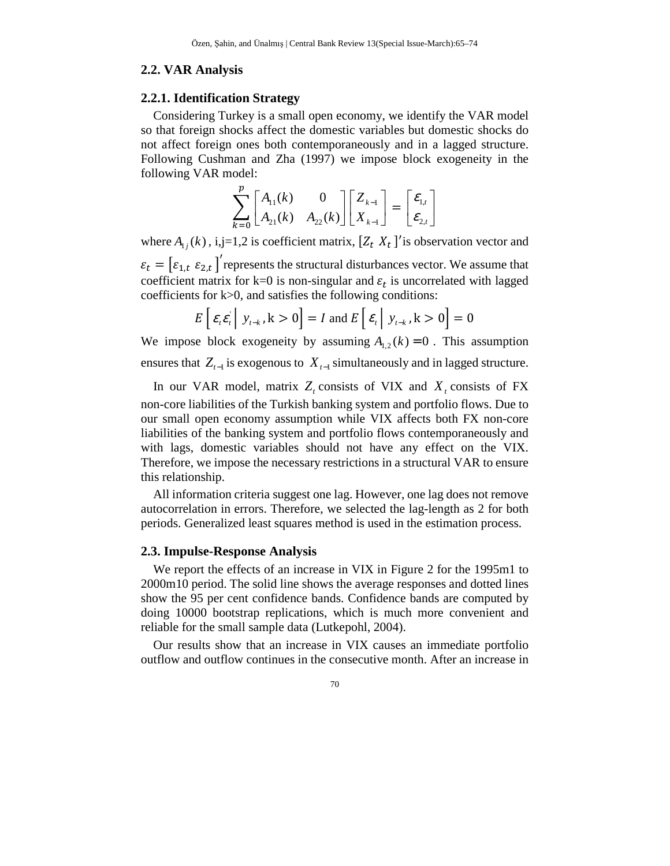### **2.2. VAR Analysis**

### **2.2.1. Identification Strategy**

Considering Turkey is a small open economy, we identify the VAR model so that foreign shocks affect the domestic variables but domestic shocks do not affect foreign ones both contemporaneously and in a lagged structure. Following Cushman and Zha (1997) we impose block exogeneity in the following VAR model:

$$
\sum_{k=0}^{p} \begin{bmatrix} A_{11}(k) & 0 \ A_{21}(k) & A_{22}(k) \end{bmatrix} \begin{bmatrix} Z_{k-1} \ X_{k-1} \end{bmatrix} = \begin{bmatrix} \varepsilon_{1,t} \\ \varepsilon_{2,t} \end{bmatrix}
$$

where  $A_{i,j}(k)$ , i,j=1,2 is coefficient matrix,  $[Z_t \ X_t]$  is observation vector and  $\varepsilon_t = [\varepsilon_{1,t} \varepsilon_{2,t}]'$  represents the structural disturbances vector. We assume that coefficient matrix for k=0 is non-singular and  $\varepsilon_t$  is uncorrelated with lagged coefficients for  $k>0$ , and satisfies the following conditions:

$$
E\left[\left.\varepsilon_{t}\varepsilon_{t}\,\right|\,\left.\mathbf{y}_{t-k}\right.\mathbf{k}>0\right]=I\;\text{and}\;E\left[\left.\varepsilon_{t}\,\right|\,\mathbf{y}_{t-k}\right.\mathbf{k}>0\right]=0
$$

We impose block exogeneity by assuming  $A_{1,2}(k) = 0$ . This assumption ensures that  $Z_{t-1}$  is exogenous to  $X_{t-1}$  simultaneously and in lagged structure.

In our VAR model, matrix  $Z_t$  consists of VIX and  $X_t$  consists of FX non-core liabilities of the Turkish banking system and portfolio flows. Due to our small open economy assumption while VIX affects both FX non-core liabilities of the banking system and portfolio flows contemporaneously and with lags, domestic variables should not have any effect on the VIX. Therefore, we impose the necessary restrictions in a structural VAR to ensure this relationship.

All information criteria suggest one lag. However, one lag does not remove autocorrelation in errors. Therefore, we selected the lag-length as 2 for both periods. Generalized least squares method is used in the estimation process.

#### **2.3. Impulse-Response Analysis**

We report the effects of an increase in VIX in Figure 2 for the 1995m1 to 2000m10 period. The solid line shows the average responses and dotted lines show the 95 per cent confidence bands. Confidence bands are computed by doing 10000 bootstrap replications, which is much more convenient and reliable for the small sample data (Lutkepohl, 2004).

Our results show that an increase in VIX causes an immediate portfolio outflow and outflow continues in the consecutive month. After an increase in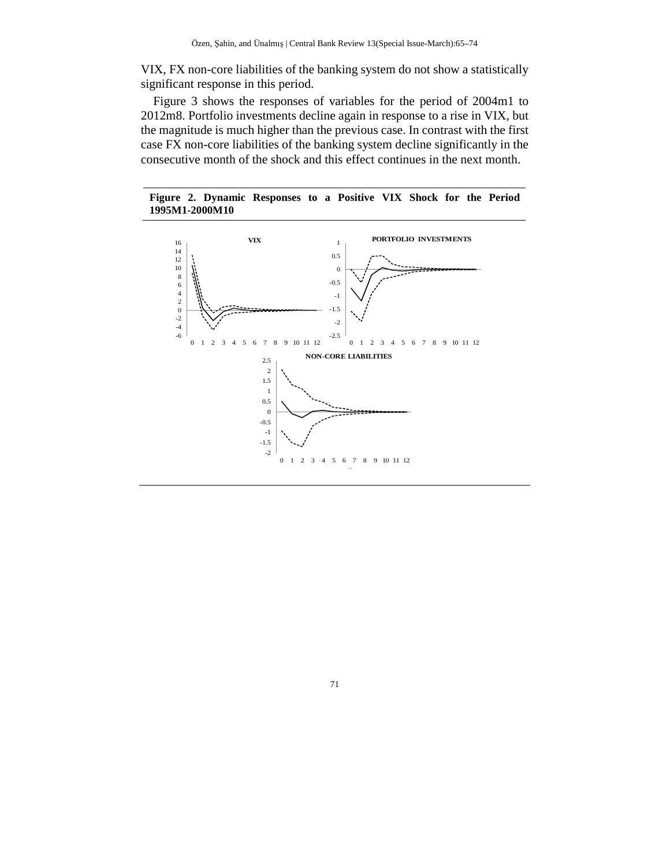VIX, FX non-core liabilities of the banking system do not show a statistically significant response in this period.

Figure 3 shows the responses of variables for the period of 2004m1 to 2012m8. Portfolio investments decline again in response to a rise in VIX, but the magnitude is much higher than the previous case. In contrast with the first case FX non-core liabilities of the banking system decline significantly in the consecutive month of the shock and this effect continues in the next month.

**Figure 2. Dynamic Responses to a Positive VIX Shock for the Period 1995M1-2000M10** 



71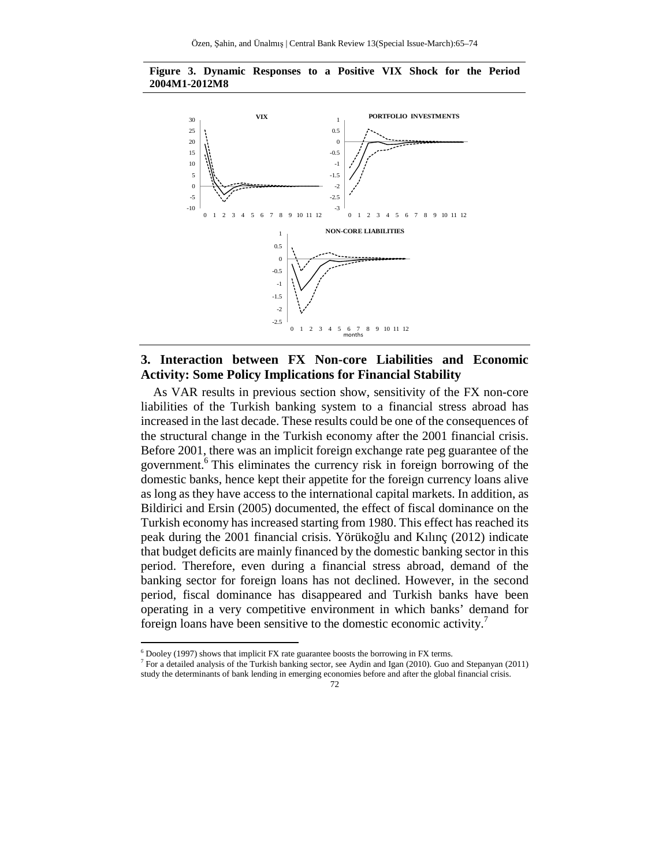



# **3. Interaction between FX Non-core Liabilities and Economic Activity: Some Policy Implications for Financial Stability**

As VAR results in previous section show, sensitivity of the FX non-core liabilities of the Turkish banking system to a financial stress abroad has increased in the last decade. These results could be one of the consequences of the structural change in the Turkish economy after the 2001 financial crisis. Before 2001, there was an implicit foreign exchange rate peg guarantee of the government.<sup>6</sup> This eliminates the currency risk in foreign borrowing of the domestic banks, hence kept their appetite for the foreign currency loans alive as long as they have access to the international capital markets. In addition, as Bildirici and Ersin (2005) documented, the effect of fiscal dominance on the Turkish economy has increased starting from 1980. This effect has reached its peak during the 2001 financial crisis. Yörükoğlu and Kılınç (2012) indicate that budget deficits are mainly financed by the domestic banking sector in this period. Therefore, even during a financial stress abroad, demand of the banking sector for foreign loans has not declined. However, in the second period, fiscal dominance has disappeared and Turkish banks have been operating in a very competitive environment in which banks' demand for foreign loans have been sensitive to the domestic economic activity.<sup>7</sup>

j

 $6$  Dooley (1997) shows that implicit FX rate guarantee boosts the borrowing in FX terms.

<sup>&</sup>lt;sup>7</sup> For a detailed analysis of the Turkish banking sector, see Aydin and Igan (2010). Guo and Stepanyan (2011) study the determinants of bank lending in emerging economies before and after the global financial crisis.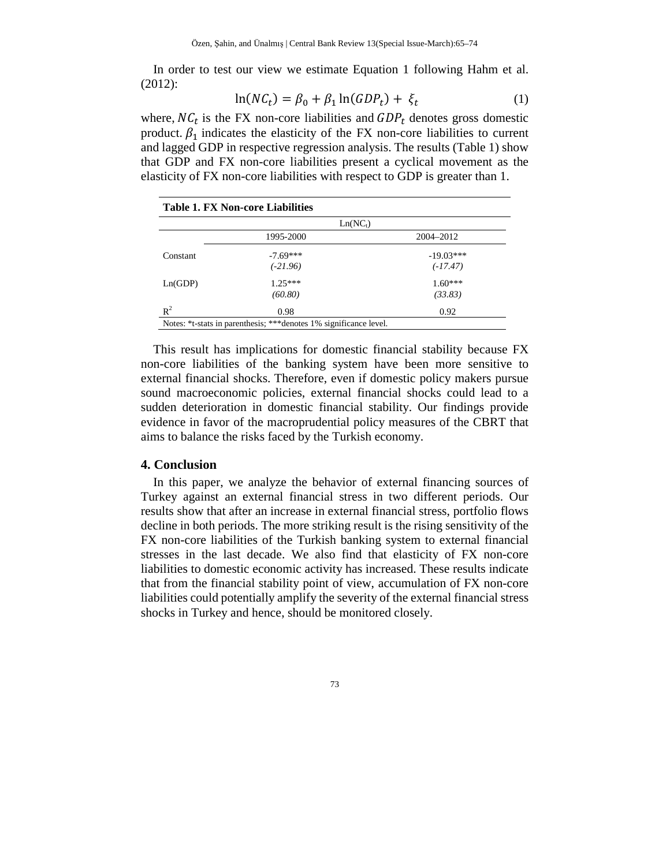In order to test our view we estimate Equation 1 following Hahm et al. (2012):

$$
\ln(NC_t) = \beta_0 + \beta_1 \ln(GDP_t) + \xi_t \tag{1}
$$

where,  $NC_t$  is the FX non-core liabilities and  $GDP_t$  denotes gross domestic product.  $\beta_1$  indicates the elasticity of the FX non-core liabilities to current and lagged GDP in respective regression analysis. The results (Table 1) show that GDP and FX non-core liabilities present a cyclical movement as the elasticity of FX non-core liabilities with respect to GDP is greater than 1.

| <b>Table 1. FX Non-core Liabilities</b> |                                                                    |             |
|-----------------------------------------|--------------------------------------------------------------------|-------------|
|                                         | $Ln(NC_1)$                                                         |             |
|                                         | 1995-2000                                                          | 2004-2012   |
| Constant                                | $-7.69***$                                                         | $-19.03***$ |
|                                         | $(-21.96)$                                                         | $(-17.47)$  |
| Ln(GDP)                                 | $1.25***$                                                          | $1.60***$   |
|                                         | (60.80)                                                            | (33.83)     |
| $R^2$                                   | 0.98                                                               | 0.92        |
|                                         | Notes: *t-stats in parenthesis; *** denotes 1% significance level. |             |

This result has implications for domestic financial stability because FX non-core liabilities of the banking system have been more sensitive to external financial shocks. Therefore, even if domestic policy makers pursue sound macroeconomic policies, external financial shocks could lead to a sudden deterioration in domestic financial stability. Our findings provide evidence in favor of the macroprudential policy measures of the CBRT that aims to balance the risks faced by the Turkish economy.

## **4. Conclusion**

In this paper, we analyze the behavior of external financing sources of Turkey against an external financial stress in two different periods. Our results show that after an increase in external financial stress, portfolio flows decline in both periods. The more striking result is the rising sensitivity of the FX non-core liabilities of the Turkish banking system to external financial stresses in the last decade. We also find that elasticity of FX non-core liabilities to domestic economic activity has increased. These results indicate that from the financial stability point of view, accumulation of FX non-core liabilities could potentially amplify the severity of the external financial stress shocks in Turkey and hence, should be monitored closely.